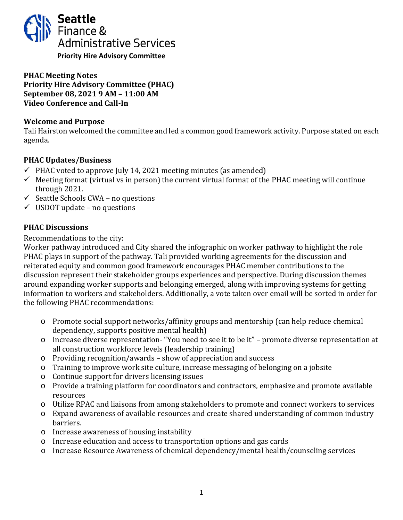

### **PHAC Meeting Notes Priority Hire Advisory Committee (PHAC) September 08, 2021 9 AM – 11:00 AM Video Conference and Call-In**

### **Welcome and Purpose**

Tali Hairston welcomed the committee and led a common good framework activity. Purpose stated on each agenda.

# **PHAC Updates/Business**

- $\checkmark$  PHAC voted to approve July 14, 2021 meeting minutes (as amended)
- $\checkmark$  Meeting format (virtual vs in person) the current virtual format of the PHAC meeting will continue through 2021.
- $\checkmark$  Seattle Schools CWA no questions
- $\checkmark$  USDOT update no questions

## **PHAC Discussions**

#### Recommendations to the city:

Worker pathway introduced and City shared the infographic on worker pathway to highlight the role PHAC plays in support of the pathway. Tali provided working agreements for the discussion and reiterated equity and common good framework encourages PHAC member contributions to the discussion represent their stakeholder groups experiences and perspective. During discussion themes around expanding worker supports and belonging emerged, along with improving systems for getting information to workers and stakeholders. Additionally, a vote taken over email will be sorted in order for the following PHAC recommendations:

- o Promote social support networks/affinity groups and mentorship (can help reduce chemical dependency, supports positive mental health)
- o Increase diverse representation- "You need to see it to be it" promote diverse representation at all construction workforce levels (leadership training)
- o Providing recognition/awards show of appreciation and success
- o Training to improve work site culture, increase messaging of belonging on a jobsite
- o Continue support for drivers licensing issues
- o Provide a training platform for coordinators and contractors, emphasize and promote available resources
- o Utilize RPAC and liaisons from among stakeholders to promote and connect workers to services
- o Expand awareness of available resources and create shared understanding of common industry barriers.
- o Increase awareness of housing instability
- o Increase education and access to transportation options and gas cards
- o Increase Resource Awareness of chemical dependency/mental health/counseling services